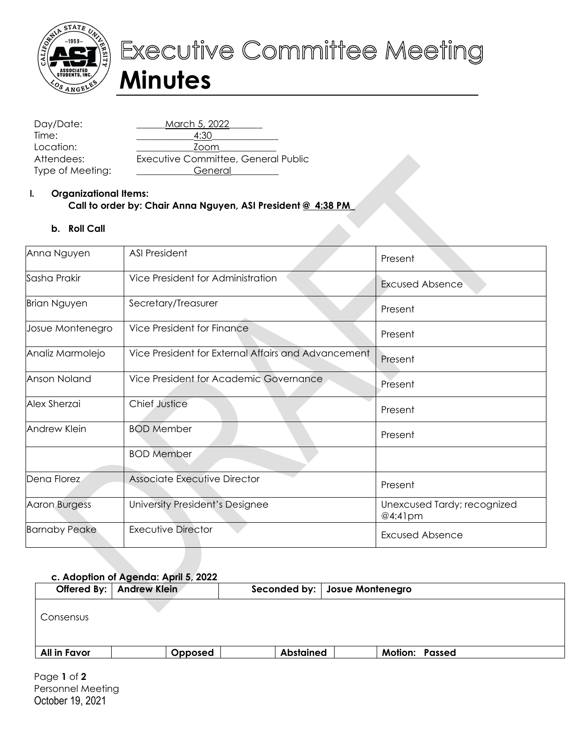

# Executive Committee Meeting **Minutes**

Day/Date: \_\_\_\_\_\_March 5, 2022\_\_\_\_\_\_\_ Time: \_\_\_\_\_\_\_\_\_\_\_\_4:30\_\_\_\_\_\_\_\_\_\_\_\_\_\_ Location: \_\_\_\_\_\_\_\_\_\_\_\_Zoom\_\_\_\_\_\_\_\_\_\_\_\_ Attendees: Executive Committee, General Public Type of Meeting: \_\_\_\_\_\_\_\_\_\_\_\_\_General

## **I. Organizational Items: Call to order by: Chair Anna Nguyen, ASI President @ 4:38 PM\_**

## **b. Roll Call**

| Anna Nguyen          | <b>ASI President</b>                                | Present                                   |
|----------------------|-----------------------------------------------------|-------------------------------------------|
| Sasha Prakir         | Vice President for Administration                   | <b>Excused Absence</b>                    |
| <b>Brian Nguyen</b>  | Secretary/Treasurer                                 | Present                                   |
| Josue Montenegro     | Vice President for Finance                          | Present                                   |
| Analiz Marmolejo     | Vice President for External Affairs and Advancement | Present                                   |
| Anson Noland         | Vice President for Academic Governance              | Present                                   |
| Alex Sherzai         | <b>Chief Justice</b>                                | Present                                   |
| Andrew Klein         | <b>BOD Member</b>                                   | Present                                   |
|                      | <b>BOD Member</b>                                   |                                           |
| Dena Florez          | Associate Executive Director                        | Present                                   |
| <b>Aaron Burgess</b> | University President's Designee                     | Unexcused Tardy; recognized<br>$@4:41$ pm |
| <b>Barnaby Peake</b> | <b>Executive Director</b>                           | <b>Excused Absence</b>                    |

## **c. Adoption of Agenda: April 5, 2022**

|              | Offered By:   Andrew Klein |                  | Seconded by:   Josue Montenegro |                       |
|--------------|----------------------------|------------------|---------------------------------|-----------------------|
| Consensus    |                            |                  |                                 |                       |
| All in Favor | Opposed                    | <b>Abstained</b> |                                 | <b>Motion: Passed</b> |

Page **1** of **2** Personnel Meeting October 19, 2021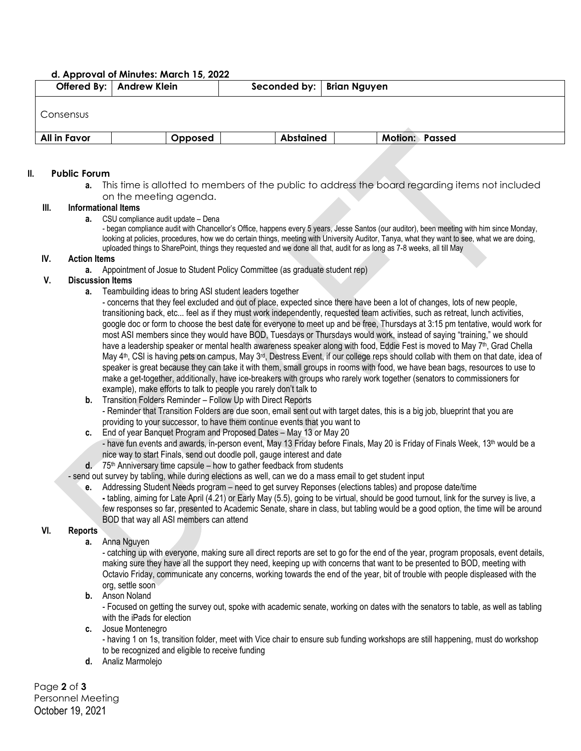#### **d. Approval of Minutes: March 15, 2022**

|              | Offered By:   Andrew Klein | Seconded by:   Brian Nguyen |                       |  |
|--------------|----------------------------|-----------------------------|-----------------------|--|
| Consensus    |                            |                             |                       |  |
| All in Favor | Opposed                    | <b>Abstained</b>            | <b>Motion: Passed</b> |  |

#### **II. Public Forum**

**a.** This time is allotted to members of the public to address the board regarding items not included on the meeting agenda.

#### **III. Informational Items**

**a.** CSU compliance audit update – Dena

- began compliance audit with Chancellor's Office, happens every 5 years, Jesse Santos (our auditor), been meeting with him since Monday, looking at policies, procedures, how we do certain things, meeting with University Auditor, Tanya, what they want to see, what we are doing, uploaded things to SharePoint, things they requested and we done all that, audit for as long as 7-8 weeks, all till May

### **IV. Action Items**

**a.** Appointment of Josue to Student Policy Committee (as graduate student rep)

## **V. Discussion Items**

**a.** Teambuilding ideas to bring ASI student leaders together

- concerns that they feel excluded and out of place, expected since there have been a lot of changes, lots of new people, transitioning back, etc... feel as if they must work independently, requested team activities, such as retreat, lunch activities, google doc or form to choose the best date for everyone to meet up and be free, Thursdays at 3:15 pm tentative, would work for most ASI members since they would have BOD, Tuesdays or Thursdays would work, instead of saying "training," we should have a leadership speaker or mental health awareness speaker along with food. Eddie Fest is moved to May  $7<sup>th</sup>$ , Grad Chella May 4<sup>th</sup>, CSI is having pets on campus, May 3<sup>rd</sup>, Destress Event, if our college reps should collab with them on that date, idea of speaker is great because they can take it with them, small groups in rooms with food, we have bean bags, resources to use to make a get-together, additionally, have ice-breakers with groups who rarely work together (senators to commissioners for example), make efforts to talk to people you rarely don't talk to

**b.** Transition Folders Reminder – Follow Up with Direct Reports

- Reminder that Transition Folders are due soon, email sent out with target dates, this is a big job, blueprint that you are providing to your successor, to have them continue events that you want to

**c.** End of year Banquet Program and Proposed Dates – May 13 or May 20

- have fun events and awards, in-person event, May 13 Friday before Finals, May 20 is Friday of Finals Week, 13<sup>th</sup> would be a nice way to start Finals, send out doodle poll, gauge interest and date

**d.** 75th Anniversary time capsule – how to gather feedback from students

- send out survey by tabling, while during elections as well, can we do a mass email to get student input

- **e.** Addressing Student Needs program need to get survey Reponses (elections tables) and propose date/time **-** tabling, aiming for Late April (4.21) or Early May (5.5), going to be virtual, should be good turnout, link for the survey is live, a few responses so far, presented to Academic Senate, share in class, but tabling would be a good option, the time will be around
	- BOD that way all ASI members can attend

#### **VI. Reports**

**a.** Anna Nguyen

- catching up with everyone, making sure all direct reports are set to go for the end of the year, program proposals, event details, making sure they have all the support they need, keeping up with concerns that want to be presented to BOD, meeting with Octavio Friday, communicate any concerns, working towards the end of the year, bit of trouble with people displeased with the org, settle soon

**b.** Anson Noland

- Focused on getting the survey out, spoke with academic senate, working on dates with the senators to table, as well as tabling with the iPads for election

**c.** Josue Montenegro

- having 1 on 1s, transition folder, meet with Vice chair to ensure sub funding workshops are still happening, must do workshop to be recognized and eligible to receive funding

**d.** Analiz Marmolejo

Page **2** of **3** Personnel Meeting October 19, 2021